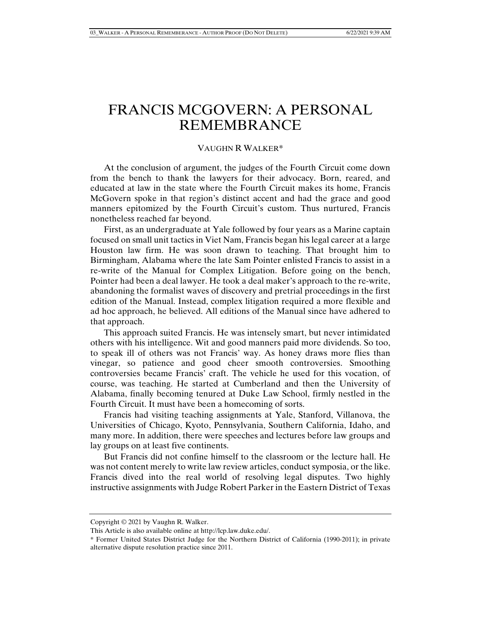## FRANCIS MCGOVERN: A PERSONAL REMEMBRANCE

## VAUGHN R WALKER\*

At the conclusion of argument, the judges of the Fourth Circuit come down from the bench to thank the lawyers for their advocacy. Born, reared, and educated at law in the state where the Fourth Circuit makes its home, Francis McGovern spoke in that region's distinct accent and had the grace and good manners epitomized by the Fourth Circuit's custom. Thus nurtured, Francis nonetheless reached far beyond.

First, as an undergraduate at Yale followed by four years as a Marine captain focused on small unit tactics in Viet Nam, Francis began his legal career at a large Houston law firm. He was soon drawn to teaching. That brought him to Birmingham, Alabama where the late Sam Pointer enlisted Francis to assist in a re-write of the Manual for Complex Litigation. Before going on the bench, Pointer had been a deal lawyer. He took a deal maker's approach to the re-write, abandoning the formalist waves of discovery and pretrial proceedings in the first edition of the Manual. Instead, complex litigation required a more flexible and ad hoc approach, he believed. All editions of the Manual since have adhered to that approach.

This approach suited Francis. He was intensely smart, but never intimidated others with his intelligence. Wit and good manners paid more dividends. So too, to speak ill of others was not Francis' way. As honey draws more flies than vinegar, so patience and good cheer smooth controversies. Smoothing controversies became Francis' craft. The vehicle he used for this vocation, of course, was teaching. He started at Cumberland and then the University of Alabama, finally becoming tenured at Duke Law School, firmly nestled in the Fourth Circuit. It must have been a homecoming of sorts.

Francis had visiting teaching assignments at Yale, Stanford, Villanova, the Universities of Chicago, Kyoto, Pennsylvania, Southern California, Idaho, and many more. In addition, there were speeches and lectures before law groups and lay groups on at least five continents.

But Francis did not confine himself to the classroom or the lecture hall. He was not content merely to write law review articles, conduct symposia, or the like. Francis dived into the real world of resolving legal disputes. Two highly instructive assignments with Judge Robert Parker in the Eastern District of Texas

Copyright © 2021 by Vaughn R. Walker.

This Article is also available online at http://lcp.law.duke.edu/.

<sup>\*</sup> Former United States District Judge for the Northern District of California (1990-2011); in private alternative dispute resolution practice since 2011.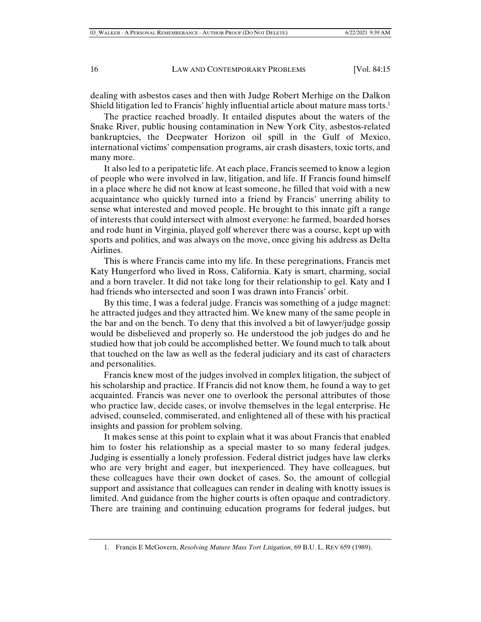dealing with asbestos cases and then with Judge Robert Merhige on the Dalkon Shield litigation led to Francis' highly influential article about mature mass torts.<sup>1</sup>

The practice reached broadly. It entailed disputes about the waters of the Snake River, public housing contamination in New York City, asbestos-related bankruptcies, the Deepwater Horizon oil spill in the Gulf of Mexico, international victims' compensation programs, air crash disasters, toxic torts, and many more.

It also led to a peripatetic life. At each place, Francis seemed to know a legion of people who were involved in law, litigation, and life. If Francis found himself in a place where he did not know at least someone, he filled that void with a new acquaintance who quickly turned into a friend by Francis' unerring ability to sense what interested and moved people. He brought to this innate gift a range of interests that could intersect with almost everyone: he farmed, boarded horses and rode hunt in Virginia, played golf wherever there was a course, kept up with sports and politics, and was always on the move, once giving his address as Delta Airlines.

This is where Francis came into my life. In these peregrinations, Francis met Katy Hungerford who lived in Ross, California. Katy is smart, charming, social and a born traveler. It did not take long for their relationship to gel. Katy and I had friends who intersected and soon I was drawn into Francis' orbit.

By this time, I was a federal judge. Francis was something of a judge magnet: he attracted judges and they attracted him. We knew many of the same people in the bar and on the bench. To deny that this involved a bit of lawyer/judge gossip would be disbelieved and properly so. He understood the job judges do and he studied how that job could be accomplished better. We found much to talk about that touched on the law as well as the federal judiciary and its cast of characters and personalities.

Francis knew most of the judges involved in complex litigation, the subject of his scholarship and practice. If Francis did not know them, he found a way to get acquainted. Francis was never one to overlook the personal attributes of those who practice law, decide cases, or involve themselves in the legal enterprise. He advised, counseled, commiserated, and enlightened all of these with his practical insights and passion for problem solving.

It makes sense at this point to explain what it was about Francis that enabled him to foster his relationship as a special master to so many federal judges. Judging is essentially a lonely profession. Federal district judges have law clerks who are very bright and eager, but inexperienced. They have colleagues, but these colleagues have their own docket of cases. So, the amount of collegial support and assistance that colleagues can render in dealing with knotty issues is limited. And guidance from the higher courts is often opaque and contradictory. There are training and continuing education programs for federal judges, but

 <sup>1.</sup> Francis E McGovern, *Resolving Mature Mass Tort Litigation*, 69 B.U. L. REV 659 (1989).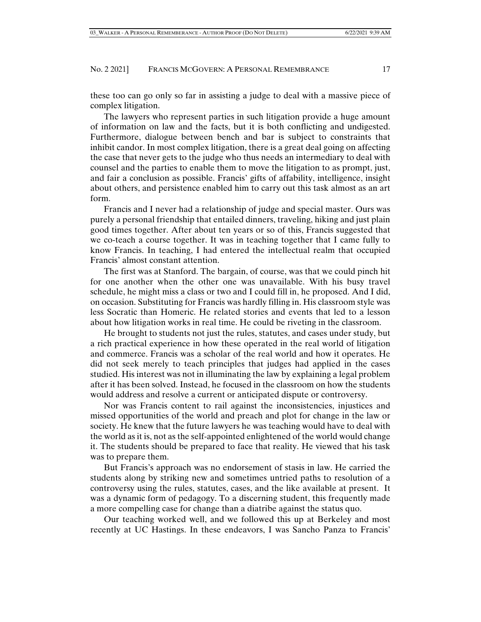these too can go only so far in assisting a judge to deal with a massive piece of complex litigation.

The lawyers who represent parties in such litigation provide a huge amount of information on law and the facts, but it is both conflicting and undigested. Furthermore, dialogue between bench and bar is subject to constraints that inhibit candor. In most complex litigation, there is a great deal going on affecting the case that never gets to the judge who thus needs an intermediary to deal with counsel and the parties to enable them to move the litigation to as prompt, just, and fair a conclusion as possible. Francis' gifts of affability, intelligence, insight about others, and persistence enabled him to carry out this task almost as an art form.

Francis and I never had a relationship of judge and special master. Ours was purely a personal friendship that entailed dinners, traveling, hiking and just plain good times together. After about ten years or so of this, Francis suggested that we co-teach a course together. It was in teaching together that I came fully to know Francis. In teaching, I had entered the intellectual realm that occupied Francis' almost constant attention.

The first was at Stanford. The bargain, of course, was that we could pinch hit for one another when the other one was unavailable. With his busy travel schedule, he might miss a class or two and I could fill in, he proposed. And I did, on occasion. Substituting for Francis was hardly filling in. His classroom style was less Socratic than Homeric. He related stories and events that led to a lesson about how litigation works in real time. He could be riveting in the classroom.

He brought to students not just the rules, statutes, and cases under study, but a rich practical experience in how these operated in the real world of litigation and commerce. Francis was a scholar of the real world and how it operates. He did not seek merely to teach principles that judges had applied in the cases studied. His interest was not in illuminating the law by explaining a legal problem after it has been solved. Instead, he focused in the classroom on how the students would address and resolve a current or anticipated dispute or controversy.

Nor was Francis content to rail against the inconsistencies, injustices and missed opportunities of the world and preach and plot for change in the law or society. He knew that the future lawyers he was teaching would have to deal with the world as it is, not as the self-appointed enlightened of the world would change it. The students should be prepared to face that reality. He viewed that his task was to prepare them.

But Francis's approach was no endorsement of stasis in law. He carried the students along by striking new and sometimes untried paths to resolution of a controversy using the rules, statutes, cases, and the like available at present. It was a dynamic form of pedagogy. To a discerning student, this frequently made a more compelling case for change than a diatribe against the status quo.

Our teaching worked well, and we followed this up at Berkeley and most recently at UC Hastings. In these endeavors, I was Sancho Panza to Francis'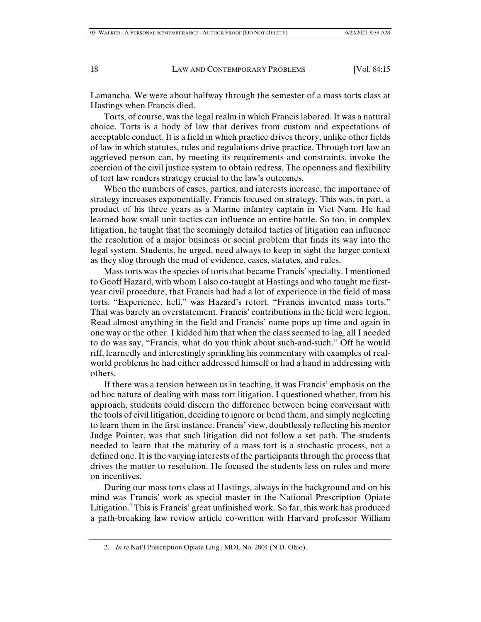Lamancha. We were about halfway through the semester of a mass torts class at Hastings when Francis died.

Torts, of course, was the legal realm in which Francis labored. It was a natural choice. Torts is a body of law that derives from custom and expectations of acceptable conduct. It is a field in which practice drives theory, unlike other fields of law in which statutes, rules and regulations drive practice. Through tort law an aggrieved person can, by meeting its requirements and constraints, invoke the coercion of the civil justice system to obtain redress. The openness and flexibility of tort law renders strategy crucial to the law's outcomes.

When the numbers of cases, parties, and interests increase, the importance of strategy increases exponentially. Francis focused on strategy. This was, in part, a product of his three years as a Marine infantry captain in Viet Nam. He had learned how small unit tactics can influence an entire battle. So too, in complex litigation, he taught that the seemingly detailed tactics of litigation can influence the resolution of a major business or social problem that finds its way into the legal system. Students, he urged, need always to keep in sight the larger context as they slog through the mud of evidence, cases, statutes, and rules.

Mass torts was the species of torts that became Francis' specialty. I mentioned to Geoff Hazard, with whom I also co-taught at Hastings and who taught me firstyear civil procedure, that Francis had had a lot of experience in the field of mass torts. "Experience, hell," was Hazard's retort. "Francis invented mass torts." That was barely an overstatement. Francis' contributions in the field were legion. Read almost anything in the field and Francis' name pops up time and again in one way or the other. I kidded him that when the class seemed to lag, all I needed to do was say, "Francis, what do you think about such-and-such." Off he would riff, learnedly and interestingly sprinkling his commentary with examples of realworld problems he had either addressed himself or had a hand in addressing with others.

If there was a tension between us in teaching, it was Francis' emphasis on the ad hoc nature of dealing with mass tort litigation. I questioned whether, from his approach, students could discern the difference between being conversant with the tools of civil litigation, deciding to ignore or bend them, and simply neglecting to learn them in the first instance. Francis' view, doubtlessly reflecting his mentor Judge Pointer, was that such litigation did not follow a set path. The students needed to learn that the maturity of a mass tort is a stochastic process, not a defined one. It is the varying interests of the participants through the process that drives the matter to resolution. He focused the students less on rules and more on incentives.

During our mass torts class at Hastings, always in the background and on his mind was Francis' work as special master in the National Prescription Opiate Litigation.2 This is Francis' great unfinished work. So far, this work has produced a path-breaking law review article co-written with Harvard professor William

 <sup>2.</sup> *In re* Nat'l Prescription Opiate Litig., MDL No. 2804 (N.D. Ohio).